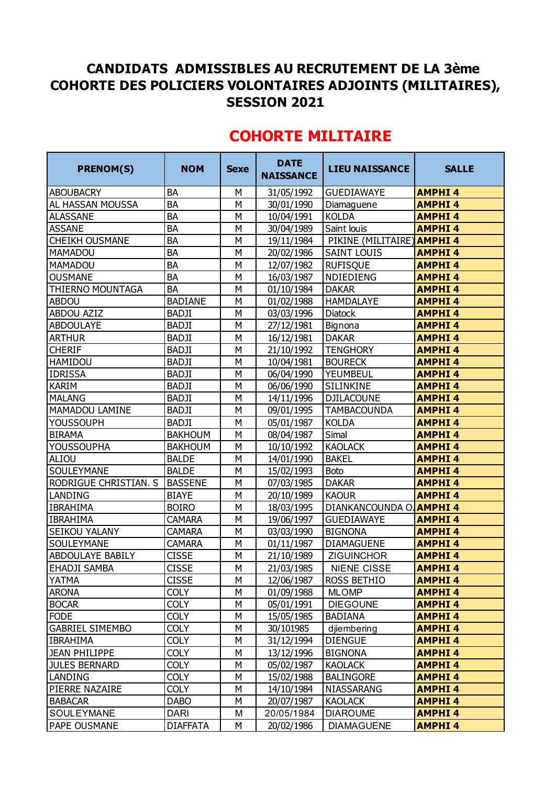## **CANDIDATS ADMISSIBLES AU RECRUTEMENT DE LA 3ème COHORTE DES POLICIERS VOLONTAIRES ADJOINTS (MILITAIRES), SESSION 2021**

| <b>PRENOM(S)</b>             | <b>NOM</b>      | <b>Sexe</b> | <b>DATE</b><br><b>NAISSANCE</b> | <b>LIEU NAISSANCE</b>    | <b>SALLE</b>  |
|------------------------------|-----------------|-------------|---------------------------------|--------------------------|---------------|
| <b>ABOUBACRY</b>             | <b>BA</b>       | М           | 31/05/1992                      | <b>GUEDIAWAYE</b>        | <b>AMPHI4</b> |
| <b>AL HASSAN MOUSSA</b>      | <b>BA</b>       | M           | 30/01/1990                      | Diamaguene               | <b>AMPHI4</b> |
| <b>ALASSANE</b>              | <b>BA</b>       | М           | 10/04/1991                      | <b>KOLDA</b>             | <b>AMPHI4</b> |
| <b>ASSANE</b>                | BA              | M           | 30/04/1989                      | Saint louis              | <b>AMPHI4</b> |
| <b>CHEIKH OUSMANE</b>        | BA              | М           | 19/11/1984                      | PIKINE (MILITAIRE)       | <b>AMPHI4</b> |
| <b>MAMADOU</b>               | <b>BA</b>       | M           | 20/02/1986                      | <b>SAINT LOUIS</b>       | <b>AMPHI4</b> |
| <b>MAMADOU</b>               | <b>BA</b>       | M           | 12/07/1982                      | <b>RUFISQUE</b>          | <b>AMPHI4</b> |
| <b>OUSMANE</b>               | <b>BA</b>       | М           | 16/03/1987                      | NDIEDIENG                | <b>AMPHI4</b> |
| <b>THIERNO MOUNTAGA</b>      | <b>BA</b>       | М           | 01/10/1984                      | <b>DAKAR</b>             | <b>AMPHI4</b> |
| <b>ABDOU</b>                 | <b>BADIANE</b>  | M           | 01/02/1988                      | <b>HAMDALAYE</b>         | <b>AMPHI4</b> |
| <b>ABDOU AZIZ</b>            | <b>BADJI</b>    | М           | 03/03/1996                      | Diatock                  | <b>AMPHI4</b> |
| <b>ABDOULAYE</b>             | <b>BADJI</b>    | M           | 27/12/1981                      | Bignona                  | <b>AMPHI4</b> |
| <b>ARTHUR</b>                | <b>BADJI</b>    | M           | 16/12/1981                      | <b>DAKAR</b>             | <b>AMPHI4</b> |
| <b>CHERIF</b>                | <b>BADJI</b>    | М           | 21/10/1992                      | <b>TENGHORY</b>          | <b>AMPHI4</b> |
| <b>HAMIDOU</b>               | <b>BADJI</b>    | M           | 10/04/1981                      | <b>BOURECK</b>           | <b>AMPHI4</b> |
| <b>IDRISSA</b>               | <b>BADJI</b>    | M           | 06/04/1990                      | YEUMBEUL                 | <b>AMPHI4</b> |
| <b>KARIM</b>                 | <b>BADJI</b>    | М           | 06/06/1990                      | SILINKINE                | <b>AMPHI4</b> |
| <b>MALANG</b>                | <b>BADJI</b>    | М           | 14/11/1996                      | <b>DJILACOUNE</b>        | <b>AMPHI4</b> |
| MAMADOU LAMINE               | <b>BADJI</b>    | M           | 09/01/1995                      | <b>TAMBACOUNDA</b>       | <b>AMPHI4</b> |
| <b>YOUSSOUPH</b>             | <b>BADJI</b>    | М           | 05/01/1987                      | <b>KOLDA</b>             | <b>AMPHI4</b> |
| <b>BIRAMA</b>                | <b>BAKHOUM</b>  | М           | 08/04/1987                      | Simal                    | <b>AMPHI4</b> |
| <b>YOUSSOUPHA</b>            | <b>BAKHOUM</b>  | M           | 10/10/1992                      | <b>KAOLACK</b>           | <b>AMPHI4</b> |
| ALIOU                        | <b>BALDE</b>    | М           | 14/01/1990                      | <b>BAKEL</b>             | <b>AMPHI4</b> |
| <b>SOULEYMANE</b>            | <b>BALDE</b>    | M           | 15/02/1993                      | <b>Boto</b>              | <b>AMPHI4</b> |
| <b>RODRIGUE CHRISTIAN. S</b> | <b>BASSENE</b>  | M           | 07/03/1985                      | <b>DAKAR</b>             | <b>AMPHI4</b> |
| <b>LANDING</b>               | <b>BIAYE</b>    | M           | 20/10/1989                      | <b>KAOUR</b>             | <b>AMPHI4</b> |
| <b>IBRAHIMA</b>              | <b>BOIRO</b>    | M           | 18/03/1995                      | DIANKANCOUNDA O. AMPHI 4 |               |
| <b>IBRAHIMA</b>              | <b>CAMARA</b>   | M           | 19/06/1997                      | <b>GUEDIAWAYE</b>        | <b>AMPHI4</b> |
| SEIKOU YALANY                | <b>CAMARA</b>   | М           | 03/03/1990                      | <b>BIGNONA</b>           | <b>AMPHI4</b> |
| <b>SOULEYMANE</b>            | <b>CAMARA</b>   | М           | 01/11/1987                      | <b>DIAMAGUENE</b>        | <b>AMPHI4</b> |
| <b>ABDOULAYE BABILY</b>      | <b>CISSE</b>    | M           | 21/10/1989                      | <b>ZIGUINCHOR</b>        | <b>AMPHI4</b> |
| <b>EHADJI SAMBA</b>          | <b>CISSE</b>    | M           | 21/03/1985                      | <b>NIENE CISSE</b>       | <b>AMPHI4</b> |
| <b>YATMA</b>                 | <b>CISSE</b>    | М           | 12/06/1987                      | <b>ROSS BETHIO</b>       | <b>AMPHI4</b> |
| <b>ARONA</b>                 | <b>COLY</b>     | M           | 01/09/1988                      | <b>MLOMP</b>             | <b>AMPHI4</b> |
| <b>BOCAR</b>                 | <b>COLY</b>     | М           | 05/01/1991                      | <b>DIEGOUNE</b>          | <b>AMPHI4</b> |
| <b>FODE</b>                  | <b>COLY</b>     | М           | 15/05/1985                      | <b>BADIANA</b>           | <b>AMPHI4</b> |
| <b>GABRIEL SIMEMBO</b>       | <b>COLY</b>     | М           | 30/101985                       | djiembering              | <b>AMPHI4</b> |
| <b>IBRAHIMA</b>              | <b>COLY</b>     | М           | 31/12/1994                      | <b>DIENGUE</b>           | <b>AMPHI4</b> |
| <b>JEAN PHILIPPE</b>         | <b>COLY</b>     | М           | 13/12/1996                      | <b>BIGNONA</b>           | <b>AMPHI4</b> |
| <b>JULES BERNARD</b>         | <b>COLY</b>     | М           | 05/02/1987                      | <b>KAOLACK</b>           | <b>AMPHI4</b> |
| <b>LANDING</b>               | <b>COLY</b>     | М           | 15/02/1988                      | <b>BALINGORE</b>         | <b>AMPHI4</b> |
| <b>PIERRE NAZAIRE</b>        | <b>COLY</b>     | М           | 14/10/1984                      | NIASSARANG               | <b>AMPHI4</b> |
| <b>BABACAR</b>               | <b>DABO</b>     | M           | 20/07/1987                      | <b>KAOLACK</b>           | <b>AMPHI4</b> |
| SOULEYMANE                   | DARI            | М           | 20/05/1984                      | <b>DIAROUME</b>          | <b>AMPHI4</b> |
| <b>PAPE OUSMANE</b>          | <b>DIAFFATA</b> | М           | 20/02/1986                      | <b>DIAMAGUENE</b>        | <b>AMPHI4</b> |

## **COHORTE MILITAIRE**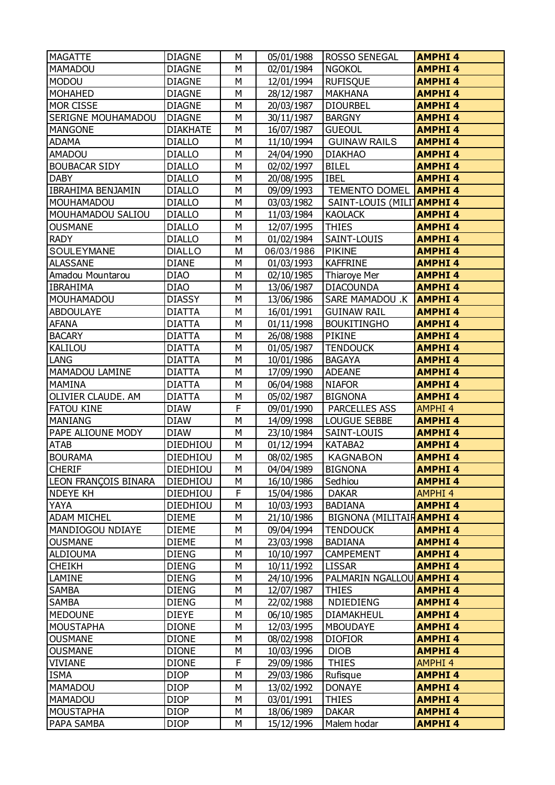| <b>MAGATTE</b>              | <b>DIAGNE</b>   | М              | 05/01/1988 | <b>ROSSO SENEGAL</b>             | <b>AMPHI4</b>                  |
|-----------------------------|-----------------|----------------|------------|----------------------------------|--------------------------------|
| MAMADOU                     | <b>DIAGNE</b>   | M              | 02/01/1984 | <b>NGOKOL</b>                    | <b>AMPHI4</b>                  |
| <b>MODOU</b>                | <b>DIAGNE</b>   | М              | 12/01/1994 | <b>RUFISQUE</b>                  | <b>AMPHI4</b>                  |
| <b>MOHAHED</b>              | <b>DIAGNE</b>   | М              | 28/12/1987 | <b>MAKHANA</b>                   | <b>AMPHI4</b>                  |
| <b>MOR CISSE</b>            | <b>DIAGNE</b>   | M              | 20/03/1987 | <b>DIOURBEL</b>                  | <b>AMPHI4</b>                  |
| <b>SERIGNE MOUHAMADOU</b>   | <b>DIAGNE</b>   | M              | 30/11/1987 | <b>BARGNY</b>                    | <b>AMPHI4</b>                  |
| <b>MANGONE</b>              | <b>DIAKHATE</b> | М              | 16/07/1987 | <b>GUEOUL</b>                    | <b>AMPHI4</b>                  |
| <b>ADAMA</b>                | <b>DIALLO</b>   | M              | 11/10/1994 | <b>GUINAW RAILS</b>              | <b>AMPHI4</b>                  |
| <b>AMADOU</b>               | <b>DIALLO</b>   | M              | 24/04/1990 | <b>DIAKHAO</b>                   | <b>AMPHI4</b>                  |
| <b>BOUBACAR SIDY</b>        | <b>DIALLO</b>   | M              | 02/02/1997 | <b>BILEL</b>                     | <b>AMPHI4</b>                  |
| <b>DABY</b>                 | <b>DIALLO</b>   | M              | 20/08/1995 | <b>IBEL</b>                      | <b>AMPHI4</b>                  |
| <b>IBRAHIMA BENJAMIN</b>    | <b>DIALLO</b>   | М              | 09/09/1993 | <b>TEMENTO DOMEL AMPHI 4</b>     |                                |
| MOUHAMADOU                  | <b>DIALLO</b>   | М              | 03/03/1982 | SAINT-LOUIS (MILITAMPHI 4        |                                |
| MOUHAMADOU SALIOU           | <b>DIALLO</b>   | M              | 11/03/1984 | <b>KAOLACK</b>                   | <b>AMPHI4</b>                  |
| <b>OUSMANE</b>              | <b>DIALLO</b>   | М              | 12/07/1995 | <b>THIES</b>                     | <b>AMPHI4</b>                  |
| <b>RADY</b>                 | <b>DIALLO</b>   | М              | 01/02/1984 | SAINT-LOUIS                      | <b>AMPHI4</b>                  |
| SOULEYMANE                  | <b>DIALLO</b>   | M              | 06/03/1986 | <b>PIKINE</b>                    | <b>AMPHI4</b>                  |
| <b>ALASSANE</b>             | <b>DIANE</b>    | М              | 01/03/1993 | <b>KAFFRINE</b>                  | <b>AMPHI4</b>                  |
| Amadou Mountarou            | <b>DIAO</b>     | М              | 02/10/1985 | Thiaroye Mer                     | <b>AMPHI4</b>                  |
| <b>IBRAHIMA</b>             | <b>DIAO</b>     | M              | 13/06/1987 | <b>DIACOUNDA</b>                 | <b>AMPHI4</b>                  |
| MOUHAMADOU                  | <b>DIASSY</b>   | M              | 13/06/1986 | SARE MAMADOU .K   AMPHI 4        |                                |
| <b>ABDOULAYE</b>            | <b>DIATTA</b>   | M              | 16/01/1991 | <b>GUINAW RAIL</b>               | <b>AMPHI4</b>                  |
| <b>AFANA</b>                | <b>DIATTA</b>   | M              | 01/11/1998 | <b>BOUKITINGHO</b>               | <b>AMPHI4</b>                  |
| <b>BACARY</b>               | <b>DIATTA</b>   | М              | 26/08/1988 | <b>PIKINE</b>                    | <b>AMPHI4</b>                  |
| KALILOU                     | <b>DIATTA</b>   | М              | 01/05/1987 | <b>TENDOUCK</b>                  | <b>AMPHI4</b>                  |
| LANG                        | <b>DIATTA</b>   | M              | 10/01/1986 | <b>BAGAYA</b>                    | <b>AMPHI4</b>                  |
| <b>MAMADOU LAMINE</b>       | <b>DIATTA</b>   | М              | 17/09/1990 | <b>ADEANE</b>                    | <b>AMPHI4</b>                  |
| <b>MAMINA</b>               | <b>DIATTA</b>   | M              | 06/04/1988 | <b>NIAFOR</b>                    | <b>AMPHI4</b>                  |
| OLIVIER CLAUDE. AM          | <b>DIATTA</b>   | M              | 05/02/1987 | <b>BIGNONA</b>                   | <b>AMPHI4</b>                  |
| <b>FATOU KINE</b>           | DIAW            | F              | 09/01/1990 | PARCELLES ASS                    | <b>AMPHI4</b>                  |
| <b>MANIANG</b>              | <b>DIAW</b>     | M              | 14/09/1998 | <b>LOUGUE SEBBE</b>              | <b>AMPHI4</b>                  |
| PAPE ALIOUNE MODY           | <b>DIAW</b>     | M              | 23/10/1984 | SAINT-LOUIS                      | <b>AMPHI4</b>                  |
| <b>ATAB</b>                 | <b>DIEDHIOU</b> | М              | 01/12/1994 | KATABA2                          | <b>AMPHI4</b>                  |
| <b>BOURAMA</b>              | DIEDHIOU        | M              | 08/02/1985 | <b>KAGNABON</b>                  | <b>AMPHI4</b>                  |
| <b>CHERIF</b>               | <b>DIEDHIOU</b> | $\overline{M}$ | 04/04/1989 | <b>BIGNONA</b>                   | <b>AMPHI4</b>                  |
| <b>LEON FRANÇOIS BINARA</b> | <b>DIEDHIOU</b> | М              | 16/10/1986 | Sedhiou                          | <b>AMPHI4</b>                  |
| <b>NDEYE KH</b>             | DIEDHIOU        | F              | 15/04/1986 | <b>DAKAR</b>                     | <b>AMPHI4</b>                  |
| YAYA                        | DIEDHIOU        | М              | 10/03/1993 | <b>BADIANA</b>                   | <b>AMPHI4</b>                  |
| <b>ADAM MICHEL</b>          | DIEME           | М              | 21/10/1986 | <b>BIGNONA (MILITAIR AMPHI 4</b> |                                |
| <b>MANDIOGOU NDIAYE</b>     | DIEME           | M              | 09/04/1994 | <b>TENDOUCK</b>                  | <b>AMPHI4</b>                  |
| <b>OUSMANE</b>              | <b>DIEME</b>    | M              | 23/03/1998 | <b>BADIANA</b>                   | <b>AMPHI4</b>                  |
| <b>ALDIOUMA</b>             | <b>DIENG</b>    | М              | 10/10/1997 | CAMPEMENT                        | <b>AMPHI4</b>                  |
| <b>CHEIKH</b>               | <b>DIENG</b>    | М              | 10/11/1992 | <b>LISSAR</b>                    | <b>AMPHI4</b>                  |
| LAMINE                      | <b>DIENG</b>    | М              | 24/10/1996 | PALMARIN NGALLOU AMPHI 4         |                                |
| SAMBA                       | <b>DIENG</b>    | М              | 12/07/1987 | <b>THIES</b>                     | <b>AMPHI4</b>                  |
| <b>SAMBA</b>                | <b>DIENG</b>    | М              | 22/02/1988 | NDIEDIENG                        | <b>AMPHI4</b>                  |
| <b>MEDOUNE</b>              | <b>DIEYE</b>    | М              | 06/10/1985 | DIAMAKHEUL                       | <b>AMPHI4</b>                  |
| MOUSTAPHA                   | <b>DIONE</b>    | М              | 12/03/1995 | <b>MBOUDAYE</b>                  | <b>AMPHI4</b>                  |
| <b>OUSMANE</b>              | <b>DIONE</b>    | М              | 08/02/1998 | <b>DIOFIOR</b>                   | <b>AMPHI4</b>                  |
| <b>OUSMANE</b>              | <b>DIONE</b>    | М              | 10/03/1996 | <b>DIOB</b>                      | <b>AMPHI4</b>                  |
| <b>VIVIANE</b>              | DIONE           | F              | 29/09/1986 | <b>THIES</b>                     | <b>AMPHI4</b>                  |
| <b>ISMA</b>                 | <b>DIOP</b>     | М              | 29/03/1986 |                                  | <b>AMPHI4</b>                  |
| <b>MAMADOU</b>              | <b>DIOP</b>     | М              | 13/02/1992 | Rufisque<br><b>DONAYE</b>        | <b>AMPHI4</b>                  |
|                             | <b>DIOP</b>     | М              |            | <b>THIES</b>                     |                                |
| <b>MAMADOU</b>              | <b>DIOP</b>     |                | 03/01/1991 | <b>DAKAR</b>                     | <b>AMPHI4</b><br><b>AMPHI4</b> |
| <b>MOUSTAPHA</b>            |                 | М              | 18/06/1989 |                                  |                                |
| PAPA SAMBA                  | <b>DIOP</b>     | М              | 15/12/1996 | Malem hodar                      | <b>AMPHI4</b>                  |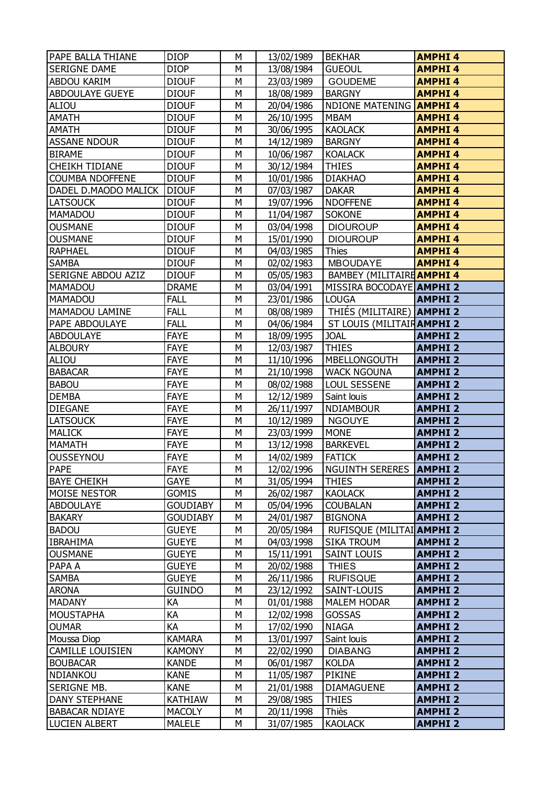| <b>PAPE BALLA THIANE</b>  | <b>DIOP</b>     | М                       | 13/02/1989 | <b>BEKHAR</b>                    | <b>AMPHI4</b> |
|---------------------------|-----------------|-------------------------|------------|----------------------------------|---------------|
| <b>SERIGNE DAME</b>       | <b>DIOP</b>     | M                       | 13/08/1984 | <b>GUEOUL</b>                    | <b>AMPHI4</b> |
| ABDOU KARIM               | <b>DIOUF</b>    | M                       | 23/03/1989 | <b>GOUDEME</b>                   | <b>AMPHI4</b> |
| ABDOULAYE GUEYE           | DIOUF           | М                       | 18/08/1989 | <b>BARGNY</b>                    | <b>AMPHI4</b> |
| ALIOU                     | <b>DIOUF</b>    | M                       | 20/04/1986 | <b>NDIONE MATENING</b>           | <b>AMPHI4</b> |
| <b>AMATH</b>              | <b>DIOUF</b>    | M                       | 26/10/1995 | <b>MBAM</b>                      | <b>AMPHI4</b> |
| <b>AMATH</b>              | <b>DIOUF</b>    | M                       | 30/06/1995 | <b>KAOLACK</b>                   | <b>AMPHI4</b> |
| <b>ASSANE NDOUR</b>       | <b>DIOUF</b>    | M                       | 14/12/1989 | <b>BARGNY</b>                    | <b>AMPHI4</b> |
| <b>BIRAME</b>             | <b>DIOUF</b>    | M                       | 10/06/1987 | <b>KOALACK</b>                   | <b>AMPHI4</b> |
| <b>CHEIKH TIDIANE</b>     | <b>DIOUF</b>    | М                       | 30/12/1984 | <b>THIES</b>                     | <b>AMPHI4</b> |
| <b>COUMBA NDOFFENE</b>    | <b>DIOUF</b>    | M                       | 10/01/1986 | <b>DIAKHAO</b>                   | <b>AMPHI4</b> |
| DADEL D.MAODO MALICK      | <b>DIOUF</b>    | M                       | 07/03/1987 | <b>DAKAR</b>                     | <b>AMPHI4</b> |
| <b>LATSOUCK</b>           | <b>DIOUF</b>    | М                       | 19/07/1996 | <b>NDOFFENE</b>                  | <b>AMPHI4</b> |
| <b>MAMADOU</b>            | <b>DIOUF</b>    | M                       | 11/04/1987 | <b>SOKONE</b>                    | <b>AMPHI4</b> |
| <b>OUSMANE</b>            | <b>DIOUF</b>    | M                       | 03/04/1998 | <b>DIOUROUP</b>                  | <b>AMPHI4</b> |
| <b>OUSMANE</b>            | <b>DIOUF</b>    | М                       | 15/01/1990 | <b>DIOUROUP</b>                  | <b>AMPHI4</b> |
| <b>RAPHAEL</b>            | <b>DIOUF</b>    | M                       | 04/03/1985 | Thies                            | <b>AMPHI4</b> |
| <b>SAMBA</b>              | <b>DIOUF</b>    | M                       | 02/02/1983 | <b>MBOUDAYE</b>                  | <b>AMPHI4</b> |
| <b>SERIGNE ABDOU AZIZ</b> | <b>DIOUF</b>    | M                       | 05/05/1983 | BAMBEY (MILITAIRE AMPHI 4        |               |
| <b>MAMADOU</b>            | <b>DRAME</b>    | M                       | 03/04/1991 | MISSIRA BOCODAYE AMPHI 2         |               |
| <b>MAMADOU</b>            | <b>FALL</b>     | M                       | 23/01/1986 | <b>LOUGA</b>                     | <b>AMPHI2</b> |
| MAMADOU LAMINE            | <b>FALL</b>     | М                       | 08/08/1989 | THIÉS (MILITAIRE) <b>AMPHI 2</b> |               |
| PAPE ABDOULAYE            | <b>FALL</b>     | M                       | 04/06/1984 | ST LOUIS (MILITAIR AMPHI 2       |               |
| <b>ABDOULAYE</b>          | <b>FAYE</b>     | M                       | 18/09/1995 | <b>JOAL</b>                      | <b>AMPHI2</b> |
| <b>ALBOURY</b>            | <b>FAYE</b>     | М                       | 12/03/1987 | <b>THIES</b>                     | <b>AMPHI2</b> |
| <b>ALIOU</b>              | <b>FAYE</b>     | M                       | 11/10/1996 | <b>MBELLONGOUTH</b>              | <b>AMPHI2</b> |
| <b>BABACAR</b>            | <b>FAYE</b>     | M                       | 21/10/1998 | <b>WACK NGOUNA</b>               | <b>AMPHI2</b> |
| <b>BABOU</b>              | <b>FAYE</b>     | М                       | 08/02/1988 | <b>LOUL SESSENE</b>              | <b>AMPHI2</b> |
| <b>DEMBA</b>              | <b>FAYE</b>     | M                       | 12/12/1989 | Saint louis                      | <b>AMPHI2</b> |
| <b>DIEGANE</b>            | <b>FAYE</b>     | M                       | 26/11/1997 | <b>NDIAMBOUR</b>                 | <b>AMPHI2</b> |
| <b>LATSOUCK</b>           | <b>FAYE</b>     | M                       | 10/12/1989 | <b>NGOUYE</b>                    | <b>AMPHI2</b> |
| <b>MALICK</b>             | <b>FAYE</b>     | M                       | 23/03/1999 | <b>MONE</b>                      | <b>AMPHI2</b> |
| <b>MAMATH</b>             | <b>FAYE</b>     | M                       | 13/12/1998 | <b>BARKEVEL</b>                  | <b>AMPHI2</b> |
| OUSSEYNOU                 | <b>FAYE</b>     | M                       | 14/02/1989 | <b>FATICK</b>                    | <b>AMPHI2</b> |
| <b>PAPE</b>               | <b>FAYE</b>     | $\overline{\mathsf{M}}$ | 12/02/1996 | NGUINTH SERERES <b>AMPHI 2</b>   |               |
| <b>BAYE CHEIKH</b>        | GAYE            | М                       | 31/05/1994 | <b>THIES</b>                     | <b>AMPHI2</b> |
| <b>MOISE NESTOR</b>       | <b>GOMIS</b>    | М                       | 26/02/1987 | <b>KAOLACK</b>                   | <b>AMPHI2</b> |
| <b>ABDOULAYE</b>          | <b>GOUDIABY</b> | M                       | 05/04/1996 | <b>COUBALAN</b>                  | <b>AMPHI2</b> |
| <b>BAKARY</b>             | <b>GOUDIABY</b> | М                       | 24/01/1987 | <b>BIGNONA</b>                   | <b>AMPHI2</b> |
| <b>BADOU</b>              | <b>GUEYE</b>    | М                       | 20/05/1984 | RUFISQUE (MILITAI AMPHI 2        |               |
| <b>IBRAHIMA</b>           | GUEYE           | M                       | 04/03/1998 | <b>SIKA TROUM</b>                | <b>AMPHI2</b> |
| <b>OUSMANE</b>            | <b>GUEYE</b>    | М                       | 15/11/1991 | <b>SAINT LOUIS</b>               | <b>AMPHI2</b> |
| PAPA A                    | <b>GUEYE</b>    | М                       | 20/02/1988 | <b>THIES</b>                     | <b>AMPHI2</b> |
| SAMBA                     | GUEYE           | М                       | 26/11/1986 | <b>RUFISQUE</b>                  | <b>AMPHI2</b> |
| <b>ARONA</b>              | GUINDO          | М                       | 23/12/1992 | SAINT-LOUIS                      | <b>AMPHI2</b> |
| <b>MADANY</b>             | КA              | М                       | 01/01/1988 | <b>MALEM HODAR</b>               | <b>AMPHI2</b> |
| <b>MOUSTAPHA</b>          | KA              | M                       | 12/02/1998 | <b>GOSSAS</b>                    | <b>AMPHI2</b> |
| <b>OUMAR</b>              | KA              | М                       | 17/02/1990 | <b>NIAGA</b>                     | <b>AMPHI2</b> |
| Moussa Diop               | <b>KAMARA</b>   | М                       | 13/01/1997 | Saint louis                      | <b>AMPHI2</b> |
| <b>CAMILLE LOUISIEN</b>   | <b>KAMONY</b>   | M                       | 22/02/1990 | <b>DIABANG</b>                   | <b>AMPHI2</b> |
| <b>BOUBACAR</b>           | KANDE           | М                       | 06/01/1987 | <b>KOLDA</b>                     | <b>AMPHI2</b> |
| NDIANKOU                  | <b>KANE</b>     | М                       | 11/05/1987 | <b>PIKINE</b>                    | <b>AMPHI2</b> |
| SERIGNE MB.               | <b>KANE</b>     | M                       | 21/01/1988 | <b>DIAMAGUENE</b>                | <b>AMPHI2</b> |
| DANY STEPHANE             | KATHIAW         | М                       | 29/08/1985 | <b>THIES</b>                     | <b>AMPHI2</b> |
| <b>BABACAR NDIAYE</b>     | <b>MACOLY</b>   | М                       | 20/11/1998 | Thiès                            | <b>AMPHI2</b> |
| <b>LUCIEN ALBERT</b>      | <b>MALELE</b>   | M                       | 31/07/1985 | <b>KAOLACK</b>                   | <b>AMPHI2</b> |
|                           |                 |                         |            |                                  |               |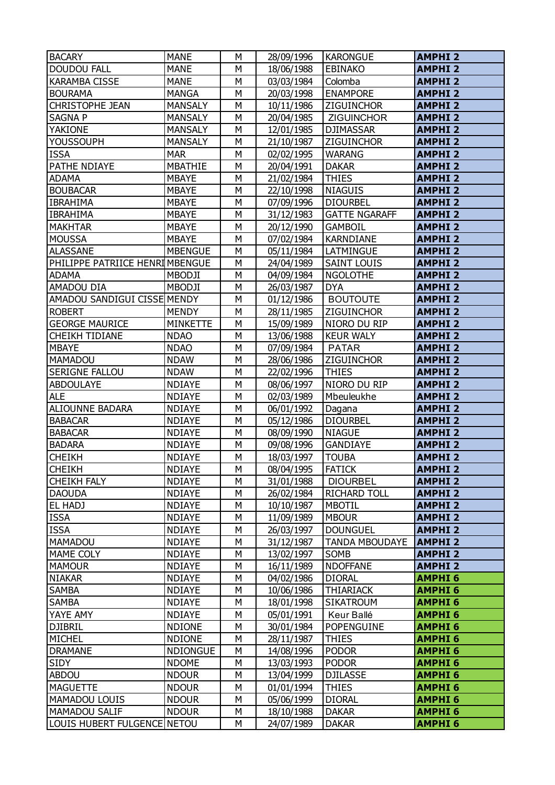| <b>BACARY</b>                   | <b>MANE</b>     | М              | 28/09/1996 | <b>KARONGUE</b>       | <b>AMPHI2</b> |
|---------------------------------|-----------------|----------------|------------|-----------------------|---------------|
| <b>DOUDOU FALL</b>              | <b>MANE</b>     | M              | 18/06/1988 | <b>EBINAKO</b>        | <b>AMPHI2</b> |
| <b>KARAMBA CISSE</b>            | <b>MANE</b>     | M              | 03/03/1984 | Colomba               | <b>AMPHI2</b> |
| <b>BOURAMA</b>                  | <b>MANGA</b>    | M              | 20/03/1998 | <b>ENAMPORE</b>       | <b>AMPHI2</b> |
| <b>CHRISTOPHE JEAN</b>          | <b>MANSALY</b>  | M              | 10/11/1986 | ZIGUINCHOR            | <b>AMPHI2</b> |
| <b>SAGNAP</b>                   | <b>MANSALY</b>  | M              | 20/04/1985 | <b>ZIGUINCHOR</b>     | <b>AMPHI2</b> |
| YAKIONE                         | <b>MANSALY</b>  | M              | 12/01/1985 | <b>DJIMASSAR</b>      | <b>AMPHI2</b> |
| <b>YOUSSOUPH</b>                | <b>MANSALY</b>  | M              | 21/10/1987 | <b>ZIGUINCHOR</b>     | <b>AMPHI2</b> |
| <b>ISSA</b>                     | <b>MAR</b>      | M              | 02/02/1995 | <b>WARANG</b>         | <b>AMPHI2</b> |
| PATHE NDIAYE                    | <b>MBATHIE</b>  | M              | 20/04/1991 | <b>DAKAR</b>          | <b>AMPHI2</b> |
| <b>ADAMA</b>                    | <b>MBAYE</b>    | M              | 21/02/1984 | <b>THIES</b>          | <b>AMPHI2</b> |
| <b>BOUBACAR</b>                 | <b>MBAYE</b>    | M              | 22/10/1998 | <b>NIAGUIS</b>        | <b>AMPHI2</b> |
| <b>IBRAHIMA</b>                 | <b>MBAYE</b>    | M              | 07/09/1996 | <b>DIOURBEL</b>       | <b>AMPHI2</b> |
| <b>IBRAHIMA</b>                 | <b>MBAYE</b>    | M              | 31/12/1983 | <b>GATTE NGARAFF</b>  | <b>AMPHI2</b> |
| <b>MAKHTAR</b>                  | <b>MBAYE</b>    | M              | 20/12/1990 | <b>GAMBOIL</b>        | <b>AMPHI2</b> |
| <b>MOUSSA</b>                   | <b>MBAYE</b>    | M              | 07/02/1984 | <b>KARNDIANE</b>      | <b>AMPHI2</b> |
| <b>ALASSANE</b>                 | <b>MBENGUE</b>  | M              | 05/11/1984 | LATMINGUE             | <b>AMPHI2</b> |
| PHILIPPE PATRIICE HENRI MBENGUE |                 | M              | 24/04/1989 | <b>SAINT LOUIS</b>    | <b>AMPHI2</b> |
| <b>ADAMA</b>                    | <b>MBODJI</b>   | M              | 04/09/1984 | <b>NGOLOTHE</b>       | <b>AMPHI2</b> |
| AMADOU DIA                      | <b>MBODJI</b>   | M              | 26/03/1987 | <b>DYA</b>            | <b>AMPHI2</b> |
| AMADOU SANDIGUI CISSE MENDY     |                 | M              | 01/12/1986 | <b>BOUTOUTE</b>       | <b>AMPHI2</b> |
| <b>ROBERT</b>                   | <b>MENDY</b>    | M              | 28/11/1985 | <b>ZIGUINCHOR</b>     | <b>AMPHI2</b> |
| <b>GEORGE MAURICE</b>           | <b>MINKETTE</b> | M              | 15/09/1989 | NIORO DU RIP          | <b>AMPHI2</b> |
| <b>CHEIKH TIDIANE</b>           | <b>NDAO</b>     | M              | 13/06/1988 | <b>KEUR WALY</b>      | <b>AMPHI2</b> |
| <b>MBAYE</b>                    | <b>NDAO</b>     | M              | 07/09/1984 | <b>PATAR</b>          | <b>AMPHI2</b> |
| MAMADOU                         | <b>NDAW</b>     | M              | 28/06/1986 | ZIGUINCHOR            | <b>AMPHI2</b> |
| <b>SERIGNE FALLOU</b>           | <b>NDAW</b>     | M              | 22/02/1996 | <b>THIES</b>          | <b>AMPHI2</b> |
| <b>ABDOULAYE</b>                | <b>NDIAYE</b>   | M              | 08/06/1997 | NIORO DU RIP          | <b>AMPHI2</b> |
| <b>ALE</b>                      | <b>NDIAYE</b>   | M              | 02/03/1989 | Mbeuleukhe            | <b>AMPHI2</b> |
| <b>ALIOUNNE BADARA</b>          | <b>NDIAYE</b>   | M              | 06/01/1992 | Dagana                | <b>AMPHI2</b> |
| <b>BABACAR</b>                  | <b>NDIAYE</b>   | M              | 05/12/1986 | <b>DIOURBEL</b>       | <b>AMPHI2</b> |
| <b>BABACAR</b>                  | <b>NDIAYE</b>   | M              | 08/09/1990 | <b>NIAGUE</b>         | <b>AMPHI2</b> |
| <b>BADARA</b>                   | <b>NDIAYE</b>   | M              | 09/08/1996 | <b>GANDIAYE</b>       | <b>AMPHI2</b> |
| <b>CHEIKH</b>                   | <b>NDIAYE</b>   | M              | 18/03/1997 | <b>TOUBA</b>          | <b>AMPHI2</b> |
| <b>CHEIKH</b>                   | <b>NDIAYE</b>   | $\overline{M}$ | 08/04/1995 | <b>FATICK</b>         | <b>AMPHI2</b> |
| <b>CHEIKH FALY</b>              | <b>NDIAYE</b>   | М              | 31/01/1988 | <b>DIOURBEL</b>       | <b>AMPHI2</b> |
| <b>DAOUDA</b>                   | <b>NDIAYE</b>   | М              | 26/02/1984 | <b>RICHARD TOLL</b>   | <b>AMPHI2</b> |
| EL HADJ                         | <b>NDIAYE</b>   | М              | 10/10/1987 | <b>MBOTIL</b>         | <b>AMPHI2</b> |
| <b>ISSA</b>                     | <b>NDIAYE</b>   | М              | 11/09/1989 | <b>MBOUR</b>          | <b>AMPHI2</b> |
| <b>ISSA</b>                     | <b>NDIAYE</b>   | M              | 26/03/1997 | <b>DOUNGUEL</b>       | <b>AMPHI2</b> |
| MAMADOU                         | <b>NDIAYE</b>   | М              | 31/12/1987 | <b>TANDA MBOUDAYE</b> | <b>AMPHI2</b> |
| MAME COLY                       | <b>NDIAYE</b>   | М              | 13/02/1997 | SOMB                  | <b>AMPHI2</b> |
| <b>MAMOUR</b>                   | <b>NDIAYE</b>   | М              | 16/11/1989 | <b>NDOFFANE</b>       | <b>AMPHI2</b> |
| <b>NIAKAR</b>                   | NDIAYE          | М              | 04/02/1986 | <b>DIORAL</b>         | <b>AMPHI6</b> |
| <b>SAMBA</b>                    | <b>NDIAYE</b>   | М              | 10/06/1986 | <b>THIARIACK</b>      | <b>AMPHI6</b> |
| <b>SAMBA</b>                    | <b>NDIAYE</b>   | М              | 18/01/1998 | <b>SIKATROUM</b>      | <b>AMPHI6</b> |
| YAYE AMY                        | <b>NDIAYE</b>   | М              | 05/01/1991 | Keur Ballé            | <b>AMPHI6</b> |
| <b>DJIBRIL</b>                  | <b>NDIONE</b>   | М              | 30/01/1984 | POPENGUINE            | <b>AMPHI6</b> |
| MICHEL                          | <b>NDIONE</b>   | М              | 28/11/1987 | <b>THIES</b>          | <b>AMPHI6</b> |
| <b>DRAMANE</b>                  | <b>NDIONGUE</b> | М              | 14/08/1996 | <b>PODOR</b>          | <b>AMPHI6</b> |
| SIDY                            | <b>NDOME</b>    | М              | 13/03/1993 | <b>PODOR</b>          | <b>AMPHI6</b> |
| <b>ABDOU</b>                    | <b>NDOUR</b>    | M              | 13/04/1999 | <b>DJILASSE</b>       | <b>AMPHI6</b> |
| <b>MAGUETTE</b>                 | <b>NDOUR</b>    | М              | 01/01/1994 | <b>THIES</b>          | <b>AMPHI6</b> |
| <b>MAMADOU LOUIS</b>            | <b>NDOUR</b>    | М              | 05/06/1999 | <b>DIORAL</b>         | <b>AMPHI6</b> |
| <b>MAMADOU SALIF</b>            | <b>NDOUR</b>    | М              | 18/10/1988 | <b>DAKAR</b>          | <b>AMPHI6</b> |
| LOUIS HUBERT FULGENCE NETOU     |                 | М              | 24/07/1989 | <b>DAKAR</b>          | <b>AMPHI6</b> |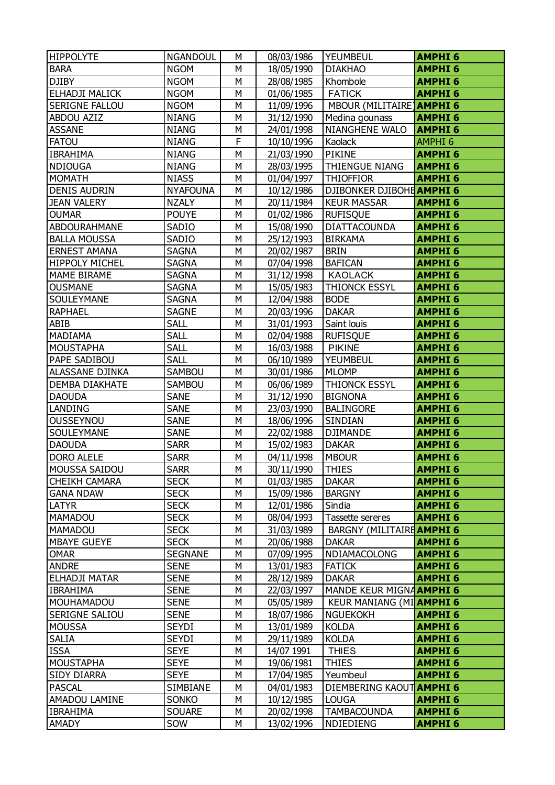| <b>HIPPOLYTE</b>      | <b>NGANDOUL</b> | м                       | 08/03/1986 | <b>YEUMBEUL</b>           | <b>AMPHI 6</b> |
|-----------------------|-----------------|-------------------------|------------|---------------------------|----------------|
| <b>BARA</b>           | <b>NGOM</b>     | M                       | 18/05/1990 | <b>DIAKHAO</b>            | <b>AMPHI6</b>  |
| <b>DJIBY</b>          | <b>NGOM</b>     | M                       | 28/08/1985 | Khombole                  | <b>AMPHI6</b>  |
| ELHADJI MALICK        | <b>NGOM</b>     | М                       | 01/06/1985 | <b>FATICK</b>             | <b>AMPHI6</b>  |
| <b>SERIGNE FALLOU</b> | <b>NGOM</b>     | M                       | 11/09/1996 | MBOUR (MILITAIRE) AMPHI 6 |                |
| <b>ABDOU AZIZ</b>     | <b>NIANG</b>    | M                       | 31/12/1990 | Medina gounass            | <b>AMPHI6</b>  |
| <b>ASSANE</b>         | <b>NIANG</b>    | M                       | 24/01/1998 | <b>NIANGHENE WALO</b>     | <b>AMPHI6</b>  |
| <b>FATOU</b>          | <b>NIANG</b>    | F                       | 10/10/1996 | Kaolack                   | <b>AMPHI6</b>  |
| <b>IBRAHIMA</b>       | <b>NIANG</b>    | M                       | 21/03/1990 | PIKINE                    | <b>AMPHI 6</b> |
| <b>NDIOUGA</b>        | <b>NIANG</b>    | М                       | 28/03/1995 | <b>THIENGUE NIANG</b>     | <b>AMPHI 6</b> |
| <b>MOMATH</b>         | <b>NIASS</b>    | M                       | 01/04/1997 | <b>THIOFFIOR</b>          | <b>AMPHI6</b>  |
| <b>DENIS AUDRIN</b>   | <b>NYAFOUNA</b> | М                       | 10/12/1986 | DJIBONKER DJIBOHE AMPHI 6 |                |
| <b>JEAN VALERY</b>    | <b>NZALY</b>    | М                       | 20/11/1984 | <b>KEUR MASSAR</b>        | <b>AMPHI6</b>  |
| <b>OUMAR</b>          | <b>POUYE</b>    | M                       | 01/02/1986 | <b>RUFISQUE</b>           | <b>AMPHI6</b>  |
| ABDOURAHMANE          | SADIO           | M                       | 15/08/1990 | <b>DIATTACOUNDA</b>       | <b>AMPHI6</b>  |
| <b>BALLA MOUSSA</b>   | SADIO           | М                       | 25/12/1993 | <b>BIRKAMA</b>            | <b>AMPHI6</b>  |
| <b>ERNEST AMANA</b>   | <b>SAGNA</b>    | M                       | 20/02/1987 | <b>BRIN</b>               | <b>AMPHI6</b>  |
| <b>HIPPOLY MICHEL</b> | <b>SAGNA</b>    | M                       | 07/04/1998 | <b>BAFICAN</b>            | <b>AMPHI6</b>  |
| <b>MAME BIRAME</b>    | <b>SAGNA</b>    | М                       | 31/12/1998 | <b>KAOLACK</b>            | <b>AMPHI6</b>  |
| <b>OUSMANE</b>        | <b>SAGNA</b>    | M                       | 15/05/1983 | <b>THIONCK ESSYL</b>      | <b>AMPHI6</b>  |
| SOULEYMANE            | SAGNA           | M                       | 12/04/1988 | <b>BODE</b>               | <b>AMPHI6</b>  |
| <b>RAPHAEL</b>        | <b>SAGNE</b>    | М                       | 20/03/1996 | <b>DAKAR</b>              | <b>AMPHI6</b>  |
| ABIB                  | <b>SALL</b>     | M                       | 31/01/1993 | Saint louis               | <b>AMPHI6</b>  |
| MADIAMA               | <b>SALL</b>     | М                       | 02/04/1988 | <b>RUFISQUE</b>           | <b>AMPHI6</b>  |
| <b>MOUSTAPHA</b>      | <b>SALL</b>     | М                       | 16/03/1988 | <b>PIKINE</b>             | <b>AMPHI6</b>  |
| PAPE SADIBOU          | <b>SALL</b>     | M                       | 06/10/1989 | <b>YEUMBEUL</b>           | <b>AMPHI6</b>  |
| ALASSANE DJINKA       | SAMBOU          | M                       | 30/01/1986 | <b>MLOMP</b>              | <b>AMPHI6</b>  |
| <b>DEMBA DIAKHATE</b> | <b>SAMBOU</b>   | М                       | 06/06/1989 | <b>THIONCK ESSYL</b>      | <b>AMPHI6</b>  |
| <b>DAOUDA</b>         | <b>SANE</b>     | M                       | 31/12/1990 | <b>BIGNONA</b>            | <b>AMPHI6</b>  |
| LANDING               | <b>SANE</b>     | M                       | 23/03/1990 | <b>BALINGORE</b>          | <b>AMPHI6</b>  |
| OUSSEYNOU             | <b>SANE</b>     | М                       | 18/06/1996 | <b>SINDIAN</b>            | <b>AMPHI6</b>  |
| SOULEYMANE            | <b>SANE</b>     | M                       | 22/02/1988 | <b>DJIMANDE</b>           | <b>AMPHI6</b>  |
| <b>DAOUDA</b>         | <b>SARR</b>     | M                       | 15/02/1983 | <b>DAKAR</b>              | <b>AMPHI6</b>  |
| <b>DORO ALELE</b>     | <b>SARR</b>     | M                       | 04/11/1998 | <b>MBOUR</b>              | <b>AMPHI6</b>  |
| MOUSSA SAIDOU         | <b>SARR</b>     | $\overline{\mathsf{M}}$ | 30/11/1990 | <b>THIES</b>              | <b>AMPHI 6</b> |
| <b>CHEIKH CAMARA</b>  | <b>SECK</b>     | М                       | 01/03/1985 | <b>DAKAR</b>              | <b>AMPHI 6</b> |
| <b>GANA NDAW</b>      | <b>SECK</b>     | М                       | 15/09/1986 | <b>BARGNY</b>             | <b>AMPHI6</b>  |
| LATYR                 | <b>SECK</b>     | M                       | 12/01/1986 | Sindia                    | <b>AMPHI6</b>  |
| MAMADOU               | <b>SECK</b>     | М                       | 08/04/1993 | Tassette sereres          | <b>AMPHI 6</b> |
| <b>MAMADOU</b>        | <b>SECK</b>     | М                       | 31/03/1989 | BARGNY (MILITAIRE AMPHI 6 |                |
| <b>MBAYE GUEYE</b>    | <b>SECK</b>     | M                       | 20/06/1988 | <b>DAKAR</b>              | <b>AMPHI6</b>  |
| <b>OMAR</b>           | <b>SEGNANE</b>  | М                       | 07/09/1995 | NDIAMACOLONG              | <b>AMPHI6</b>  |
| <b>ANDRE</b>          | <b>SENE</b>     | М                       | 13/01/1983 | <b>FATICK</b>             | <b>AMPHI6</b>  |
| <b>ELHADJI MATAR</b>  | <b>SENE</b>     | М                       | 28/12/1989 | <b>DAKAR</b>              | <b>AMPHI6</b>  |
| <b>IBRAHIMA</b>       | <b>SENE</b>     | М                       | 22/03/1997 | MANDE KEUR MIGNAAMPHI 6   |                |
| MOUHAMADOU            | <b>SENE</b>     | м                       | 05/05/1989 | KEUR MANIANG (MI AMPHI 6  |                |
| <b>SERIGNE SALIOU</b> | <b>SENE</b>     | М                       | 18/07/1986 | <b>NGUEKOKH</b>           | <b>AMPHI6</b>  |
| <b>MOUSSA</b>         | SEYDI           | М                       | 13/01/1989 | <b>KOLDA</b>              | <b>AMPHI6</b>  |
| <b>SALIA</b>          | <b>SEYDI</b>    | М                       | 29/11/1989 | <b>KOLDA</b>              | <b>AMPHI 6</b> |
| <b>ISSA</b>           | <b>SEYE</b>     | М                       | 14/07 1991 | <b>THIES</b>              | <b>AMPHI 6</b> |
| MOUSTAPHA             | SEYE            | М                       | 19/06/1981 | THIES                     | <b>AMPHI 6</b> |
| <b>SIDY DIARRA</b>    | <b>SEYE</b>     | М                       | 17/04/1985 | Yeumbeul                  | <b>AMPHI6</b>  |
| <b>PASCAL</b>         | SIMBIANE        | М                       | 04/01/1983 | DIEMBERING KAOUT AMPHI 6  |                |
| AMADOU LAMINE         | SONKO           | М                       | 10/12/1985 | <b>LOUGA</b>              | <b>AMPHI 6</b> |
| <b>IBRAHIMA</b>       | <b>SOUARE</b>   | М                       | 20/02/1998 | <b>TAMBACOUNDA</b>        | <b>AMPHI6</b>  |
| <b>AMADY</b>          | SOW             | М                       | 13/02/1996 | NDIEDIENG                 | <b>AMPHI 6</b> |